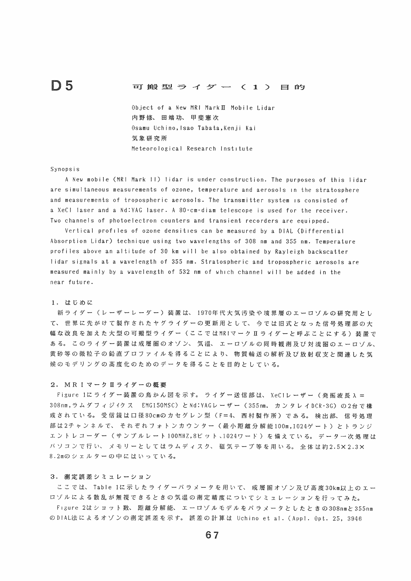# ■ コ 搬 型 ラ イ ダ ー ( 1 ) 日 的

Object of a New MRI Mark  $II$  Mobile Lidar 内野修、田端功、甲斐意次 Osamu Uchino, Isao Tabata, Kenji Kai 気象研究所 Meteorological Research Institute

## Synopsis

A New mobile (MR! Mark H) lidar is under construction. The purposes of this lidar are simultaneous measurements of ozone, temperature and aerosols in the stratosphere and measurements of tropospheric aerosols. The transmitter system is consisted of a XeCI laser and a Nd:YAG laser. A 80-cm-diam telescope is used for the receiver. Two channels of photoelectron counters and transient recorders are equipped.

Vertical profiles of ozone densities can be measured by a DIAL (Differential Absorption Lidar) technique using two wavelengths of 308 nm and 355 nm. Temperature profiles above an altitude of 30 km will be also obtained by Rayleigh backscatter lidar signals at a wavelength of 355 nm. Stratospheric and tropospheric aerosols are measured mainly by a wavelength of 532 nm of which channel will be added in the near future.

## 1. はじめに

新ライダー(レーザーレーダー)装置は、 1970年代大気汚染や境界層のエーロゾルの研究用とし て、世界に先がけて製作されたヤグライダーの更新用として、今では旧式となった信号処理部の大 幅な改良を加えた大型の可搬型ライダー(ここではMRIマークⅡライダーと呼ぶことにする)装置で ある。このライダー装置は成層圏のオゾン、気塩、エーロゾルの同時観測及び対流圏のエーロゾル、 黄砂等の微粒子の鉛直プロファイルを得ることにより、物質輸送の解析及び放射収支と関連した気 候のモデリングの高度化のためのデータを得ることを目的としている。

## 2. MRI マーク II ライダーの概要

Figure 1にライダー装置の鳥かん図を示す。ライダー送信部は、 XeCIレーザー (発振波長入= 308nm,ラムダフィジイクス EMG150MSC)とNd:YAGレーザー (355nm, カンタレイDCR-3G)の2台で構 成されている。受信鏡は口径80cmのカセグレン型(F=4、西村製作所)である。検出部、信号処理 部は2チャンネルで、それぞれフォトンカウンター(最小距離分解能100m,1024ゲート)とトランジ ュントレコーダー(サンプルレート100MHZ,8ビット、1024ワード)を備えている。データ一次処理は パソコンで行い、メモリーとしてはうムディスク、磁気テープ等を用いる。全体は約2.5×2.3× 8.2mのシェルターの中にはいっている。

#### 3.測定誤差シミュレーション

ここでは、 Table 1に示したライダーパラメータを用いて、成層圏オゾン及び高度30km以上のエー ロゾルによる散乱が無視できるときの気温の測定精度についてシミュレーションを行ってみた。 Figure 2はショット数、距離分解能、エーロゾルモデルをパラメータとしたときの308nmと355nm のDIAL法によるオゾンの測定誤差を示す。誤差の計算は Uchino et al. (Appl. Opt. 25, 3946